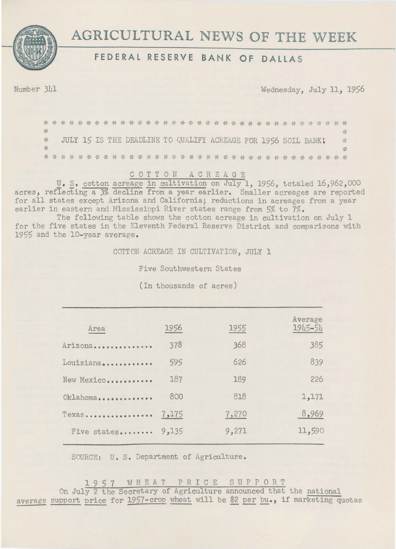



## **FEDERAL RESERVE BANK OF DALLAS**

Number 341 Wednesday, July 11, 1956

 $\Delta L$ \* 꼯 JULY 15 IS THE DEADLINE TO QUALIFY ACREAGE FOR 1956 SOIL BANK!  $\frac{\lambda_{\ell}^2}{\lambda^2}$  $\Delta_{\rm cr}^2$ 兴 

## C 0 T T 0 N A C R E A G E

U. S. cotton acreage in cultivation on July 1, 1956, totaled 16,962,000 acres, reflecting a 3% decline from a year earlier. Smaller acreages are reported for all states except Arizona and California; reductions in acreages from a year earlier in eastern and Mississippi River states range from 5% to 7%.

The following table shows the cotton acreage in cultivation on July 1 for the five states in the Eleventh Federal Reserve District and comparisons with 1955 and the 10-year average.

COTTON ACREAGE IN CULTIVATION, JULY 1

Five Southwestern States

(In thousands of acres)

| Area                | 1956  | 1955  | Average<br>1945-54 |
|---------------------|-------|-------|--------------------|
| Arizona             | 378   | 368   | 385                |
| Louisiana           | 595   | 626   | 839                |
| New Mexico          | 187   | 189   | 226                |
| Oklahoma            | 800   | 818   | 1,171              |
| Texas               | 7,175 | 7,270 | 8,969              |
| Five states $9,135$ |       | 9,271 | 11,590             |
|                     |       |       |                    |

SOURCE: U.S. Department of Agriculture.

1 9 5 7 W H E A T P R I C E S U P P 0 R T

On July 2 the Secretary of Agriculture announced that the national average support price for 1957-crop wheat will be \$2 per bu., if marketing quotas